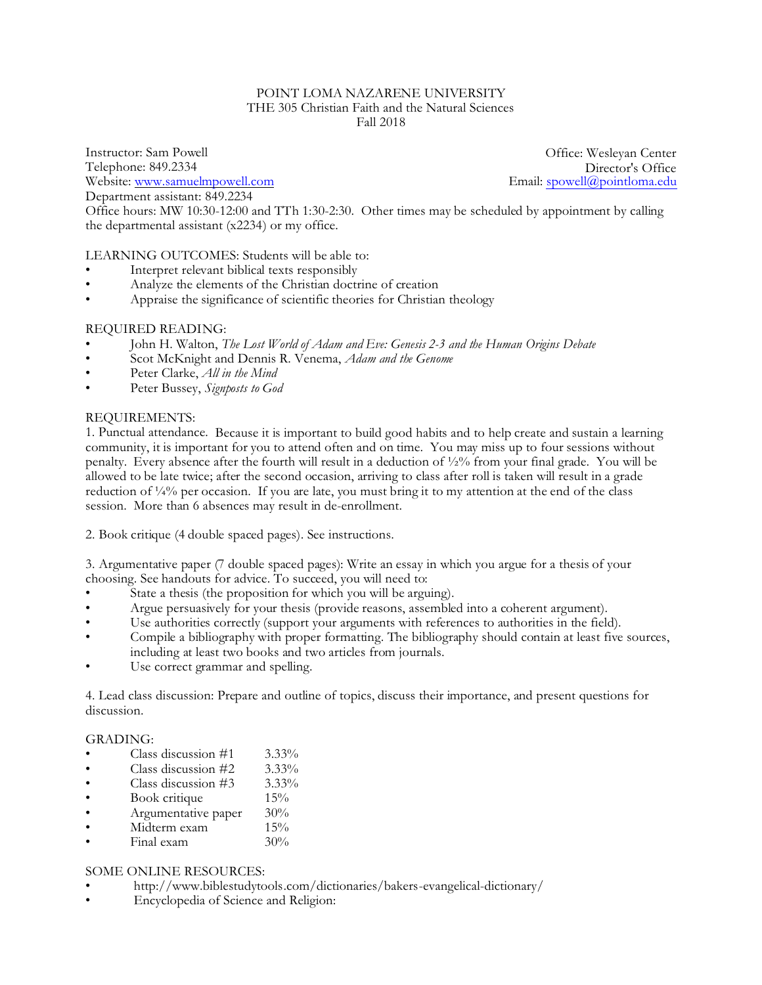### POINT LOMA NAZARENE UNIVERSITY THE 305 Christian Faith and the Natural Sciences Fall 2018

Instructor: Sam Powell Telephone: 849.2334 Website: [www.samuelmpowell.com](http://www.samuelmpowell.com) Department assistant: 849.2234

Office: Wesleyan Center Director's Office<br>Email: spowell@pointloma.edu

Office hours: MW 10:30-12:00 and TTh 1:30-2:30. Other times may be scheduled by appointment by calling the departmental assistant (x2234) or my office.

# LEARNING OUTCOMES: Students will be able to:

- Interpret relevant biblical texts responsibly
- Analyze the elements of the Christian doctrine of creation
- Appraise the significance of scientific theories for Christian theology

### REQUIRED READING:

- John H. Walton, *The Lost World of Adam and Eve: Genesis 2-3 and the Human Origins Debate*
- Scot McKnight and Dennis R. Venema, *Adam and the Genome*
- Peter Clarke, *All in the Mind*
- Peter Bussey, *Signposts to God*

### REQUIREMENTS:

1. Punctual attendance. Because it is important to build good habits and to help create and sustain a learning community, it is important for you to attend often and on time. You may miss up to four sessions without penalty. Every absence after the fourth will result in a deduction of ½% from your final grade. You will be allowed to be late twice; after the second occasion, arriving to class after roll is taken will result in a grade reduction of  $\frac{1}{4}\%$  per occasion. If you are late, you must bring it to my attention at the end of the class session. More than 6 absences may result in de-enrollment.

2. Book critique (4 double spaced pages). See instructions.

3. Argumentative paper (7 double spaced pages): Write an essay in which you argue for a thesis of your choosing. See handouts for advice. To succeed, you will need to:

- State a thesis (the proposition for which you will be arguing).
- Argue persuasively for your thesis (provide reasons, assembled into a coherent argument).
- Use authorities correctly (support your arguments with references to authorities in the field).
- Compile a bibliography with proper formatting. The bibliography should contain at least five sources, including at least two books and two articles from journals.
- Use correct grammar and spelling.

4. Lead class discussion: Prepare and outline of topics, discuss their importance, and present questions for discussion.

### GRADING:

- Class discussion  $#1$  3.33%
- Class discussion  $#2 \qquad 3.33\%$
- Class discussion  $#3$  3.33%
- Book critique 15%<br>Argumentative paper 30%
- Argumentative paper 30%<br>Midterm exam 15%
- Midterm exam
- Final exam 30%

# SOME ONLINE RESOURCES:

- http://www.biblestudytools.com/dictionaries/bakers-evangelical-dictionary/
- Encyclopedia of Science and Religion: